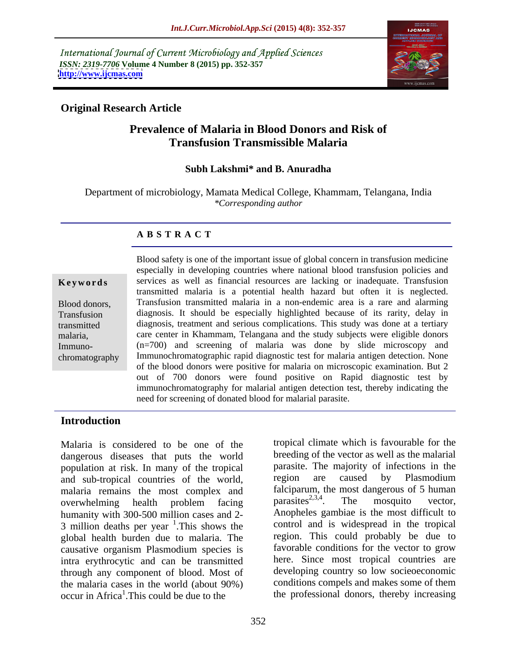International Journal of Current Microbiology and Applied Sciences *ISSN: 2319-7706* **Volume 4 Number 8 (2015) pp. 352-357 <http://www.ijcmas.com>**



# **Original Research Article**

# **Prevalence of Malaria in Blood Donors and Risk of Transfusion Transmissible Malaria**

## **Subh Lakshmi\* and B. Anuradha**

Department of microbiology, Mamata Medical College, Khammam, Telangana, India *\*Corresponding author*

### **A B S T R A C T**

chromatography

Blood safety is one of the important issue of global concern in transfusion medicine especially in developing countries where national blood transfusion policies and **Keywords** services as well as financial resources are lacking or inadequate. Transfusion transmitted malaria is a potential health hazard but often it is neglected. Transfusion transmitted malaria in a non-endemic area is a rare and alarming Blood donors, diagnosis. It should be especially highlighted because of its rarity, delay in Transfusion diagnosis, treatment and serious complications. This study was done at a tertiary transmitted care center in Khammam, Telangana and the study subjects were eligible donors malaria, (n=700) and screening of malaria was done by slide microscopy and Immuno- Immunochromatographic rapid diagnostic test for malaria antigen detection. None of the blood donors were positive for malaria on microscopic examination. But 2 out of 700 donors were found positive on Rapid diagnostic test by immunochromatography for malarial antigen detection test, thereby indicating the need for screening of donated blood for malarial parasite.

# **Introduction**

Malaria is considered to be one of the dangerous diseases that puts the world population at risk. In many of the tropical parasite. The majority of infections in the paradelel parasite. The majority of infections in the paradelel parameters of the world and region are caused by Plasmodium and sub-tropical countries of the world, malaria remains the most complex and<br>overwhelming health problem facing parasites<sup>2,3,4</sup>. The mosquito vector, overwhelming health problem facing parasites<sup>2,3,4</sup>. The mosquito vector, humanity with 300-500 million cases and 2- 3 million deaths per year  $<sup>1</sup>$ . This shows the</sup> global health burden due to malaria. The causative organism Plasmodium species is intra erythrocytic and can be transmitted through any component of blood. Most of the malaria cases in the world (about  $90\%$ ) occur in Africa<sup>1</sup>. This could be due to the occur in Africa<sup>1</sup>. This could be due to the the professional donors, thereby increasing

<sup>1</sup>. This shows the control and is widespread in the tropical tropical climate which is favourable for the breeding of the vector as well as the malarial parasite. The majority of infections in the region are caused by Plasmodium falciparum, the most dangerous of 5 human parasites<sup>2,3,4</sup>. The mosquito vector, . The mosquito vector, Anopheles gambiae is the most difficult to region. This could probably be due to favorable conditions for the vector to grow here. Since most tropical countries are developing country so low socieoeconomic conditions compels and makes some of them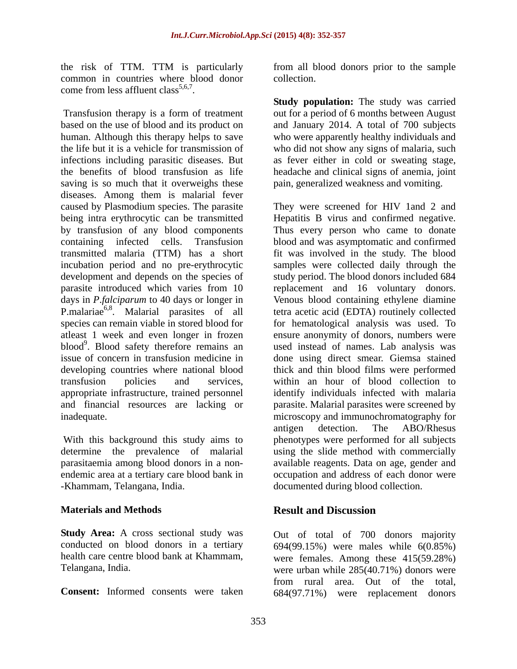common in countries where blood donor come from less affluent class<sup>5,6,7</sup>.

based on the use of blood and its product on and January 2014. A total of 700 subjects human. Although this therapy helps to save who were apparently healthy individuals and the life but it is a vehicle for transmission of who did not show any signs of malaria, such infections including parasitic diseases. But the benefits of blood transfusion as life headache and clinical signs of anemia, joint saving is so much that it overweighs these diseases. Among them is malarial fever caused by Plasmodium species. The parasite P.malariae<sup>6,8</sup>. Malarial parasites of all

**Study Area:** A cross sectional study was Out of total of 700 donors majority

the risk of TTM. TTM is particularly from all blood donors prior to the sample collection.

Fransfusion therapy is a form of treatment<br>
Transfusion therapy is a form of treatment out for a period of 6 months between August **Study population:** The study was carried out for a period of 6 months between August as fever either in cold or sweating stage, pain, generalized weakness and vomiting.

being intra erythrocytic can be transmitted Hepatitis B virus and confirmed negative. by transfusion of any blood components Thus every person who came to donate containing infected cells. Transfusion blood and was asymptomatic and confirmed transmitted malaria (TTM) has a short fit was involved in the study. The blood incubation period and no pre-erythrocytic samples were collected daily through the development and depends on the species of study period. The blood donors included 684 parasite introduced which varies from 10 replacement and 16 voluntary donors. days in *P*.*falciparum* to 40 days or longer in Venous blood containing ethylene diamine . Malarial parasites of all tetra acetic acid (EDTA) routinely collected species can remain viable in stored blood for for hematological analysis was used. To atleast 1 week and even longer in frozen ensure anonymity of donors, numbers were blood<sup>9</sup>. Blood safety therefore remains an used instead of names. Lab analysis was issue of concern in transfusion medicine in done using direct smear. Giemsa stained developing countries where national blood thick and thin blood films were performed transfusion policies and services, within an hour of blood collection to appropriate infrastructure, trained personnel identify individuals infected with malaria and financial resources are lacking or parasite. Malarial parasites were screened by inadequate. microscopy and immunochromatography for With this background this study aims to phenotypes were performed for all subjects determine the prevalence of malarial using the slide method with commercially parasitaemia among blood donors in a non- available reagents. Data on age, gender and endemic area at a tertiary care blood bank in occupation and address of each donor were -Khammam, Telangana, India. documented during blood collection. They were screened for HIV 1and 2 and antigen detection. The ABO/Rhesus

### **Materials and Methods Result and Discussion**

conducted on blood donors in a tertiary 694(99.15%) were males while 6(0.85%) health care centre blood bank at Khammam, were females. Among these 415(59.28%) Telangana, India. were urban while 285(40.71%) donors were **Consent:** Informed consents were taken 684(97.71%) were replacement donorsfrom rural area. Out of the total,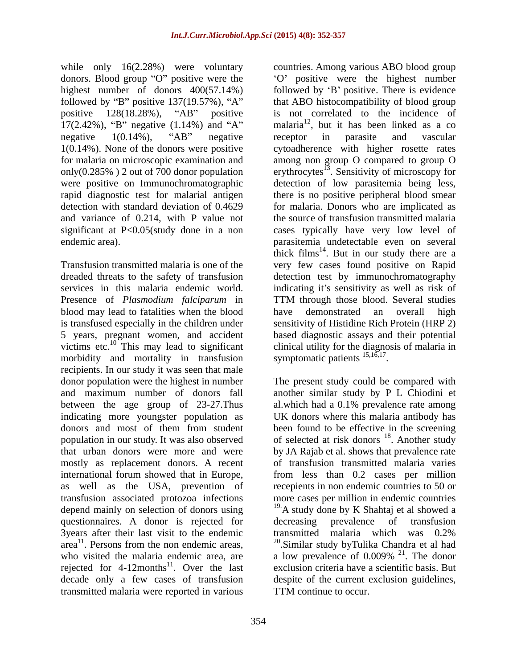donors. Blood group "O" positive were the significant at P<0.05(study done in a non

blood may lead to fatalities when the blood have demonstrated an overall high is transfused especially in the children under victims etc.<sup>10</sup> This may lead to significant clinical utility for the diagnomorbidity and mortality in transfusion symptomatic patients  $^{15,16,17}$ . morbidity and mortality in transfusion recipients. In our study it was seen that male donor population were the highest in number The present study could be compared with mostly as replacement donors. A recent questionnaires. A donor is rejected for 3years after their last visit to the endemic<br>  $\frac{1}{2}$  transmitted malaria which was 0.2%<br>  $\frac{1}{2}$  area<sup>11</sup>. Persons from the non endemic areas.<br>  $\frac{20}{2}$  Similar study by Tulika Chandra et al had who visited the malaria endemic area, are  $\mu$  a low prevalence of 0.009% <sup>21</sup>. The donor rejected for  $4{\text -}12$ months<sup>11</sup>. Over the last transmitted malaria were reported in various

while only 16(2.28%) were voluntary countries. Among various ABO blood group highest number of donors  $400(57.14%)$  followed by 'B' positive. There is evidence followed by "B" positive  $137(19.57\%)$ , "A" that ABO histocompatibility of blood group positive 128(18.28%), "AB" positive is not correlated to the incidence of 17(2.42%), "B" negative (1.14%) and "A" malaria<sup>12</sup>, but it has been linked as a co negative  $1(0.14\%)$ , "AB" negative receptor in parasite and vascular 1(0.14%). None of the donors were positive cytoadherence with higher rosette rates for malaria on microscopic examination and among non group O compared to group O only(0.285%) 2 out of 700 donor population erythrocytes<sup>13</sup>. Sensitivity of microscopy for were positive on Immunochromatographic detection of low parasitemia being less, rapid diagnostic test for malarial antigen there is no positive peripheral blood smear detection with standard deviation of 0.4629 for malaria. Donors who are implicated as and variance of 0.214, with P value not the source of transfusion transmitted malaria endemic area). parasitemia undetectable even on several Transfusion transmitted malaria is one of the very few cases found positive on Rapid dreaded threats to the safety of transfusion detection test by immunochromatography services in this malaria endemic world. indicating it's sensitivity as well as risk of Presence of *Plasmodium falciparum* in TTM through those blood. Several studies 5 years, pregnant women, and accident based diagnostic assays and their potential O positive were the highest number receptor in parasite and vascular cases typically have very low level of thick films<sup>14</sup>. But in our study there are a have demonstrated an overall high sensitivity of Histidine Rich Protein (HRP 2) clinical utility for the diagnosis of malaria in symptomatic patients  $^{15,16,17}$ .

and maximum number of donors fall another similar study by P L Chiodini et between the age group of 23-27.Thus al.which had a 0.1% prevalence rate among indicating more youngster population as UK donors where this malaria antibody has donors and most of them from student been found to be effective in the screening population in our study. It was also observed of selected at risk donors <sup>18</sup>. Another study that urban donors were more and were by JA Rajab et al. shows that prevalence rate international forum showed that in Europe, from less than 0.2 cases per million as well as the USA, prevention of recepients in non endemic countries to 50 or transfusion associated protozoa infections more cases per million in endemic countries depend mainly on selection of donors using 19.A study done by K Shahtaj et al showed a area<sup>11</sup>. Persons from the non endemic areas,  $\frac{20}{2}$ Similar study byTulika Chandra et al had . Over the last exclusion criteria have a scientific basis. But decade only a few cases of transfusion despite of the current exclusion guidelines, symptomatic patients  $15,16,17$ .<br>The present study could be compared with been found to be effective in the screening . Another study of transfusion transmitted malaria varies from less than 0.2 cases per million recepients in non endemic countries to 50 or decreasing prevalence of transfusion transmitted malaria which was 0.2% a low prevalence of  $0.009\%$  <sup>21</sup>. The donor  $^{21}$  The denser . The donor TTM continue to occur.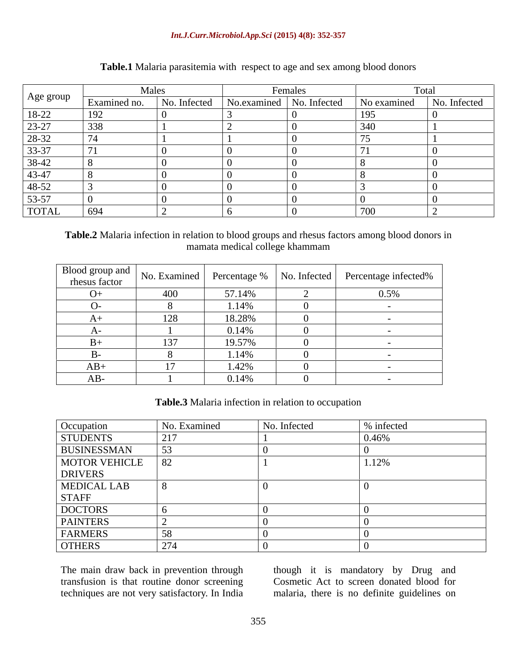### *Int.J.Curr.Microbiol.App.Sci* **(2015) 4(8): 352-357**

|              | Males        |                                        | Females |             | Total        |
|--------------|--------------|----------------------------------------|---------|-------------|--------------|
| Age group    | Examined no. | No. Infected No. examined No. Infected |         | No examined | No. Infected |
| $18-22$      | 192          |                                        |         |             |              |
| $23-27$      | 338          |                                        |         |             |              |
| 28-32        |              |                                        |         |             |              |
| $33-37$      |              |                                        |         |             |              |
| $38-42$      |              |                                        |         |             |              |
| $43-47$      |              |                                        |         |             |              |
| 48-52        |              |                                        |         |             |              |
| $53-57$      |              |                                        |         |             |              |
| <b>TOTAL</b> | 694          |                                        |         |             |              |

# **Table.1** Malaria parasitemia with respect to age and sex among blood donors

**Table.2** Malaria infection in relation to blood groups and rhesus factors among blood donors in mamata medical college khammam

|           |     |        | Blood group and No. Examined Percentage % No. Infected Percentage infected % |
|-----------|-----|--------|------------------------------------------------------------------------------|
|           |     |        |                                                                              |
| $( )_{+}$ | 400 | 57.14% | 0.5%                                                                         |
|           |     | 1.14%  |                                                                              |
|           |     | 18.28% |                                                                              |
|           |     | 0.14%  |                                                                              |
|           |     | 19.57% |                                                                              |
|           |     | 1.14%  |                                                                              |
| $AB+$     |     | 1.42%  |                                                                              |
|           |     | 0.14%  |                                                                              |

**Table.3** Malaria infection in relation to occupation

|                                                                  | No. Examined | No. Infected | % infected |
|------------------------------------------------------------------|--------------|--------------|------------|
| Occupation<br>STUDENTS                                           | 217          |              | 0.46%      |
|                                                                  |              |              |            |
| BUSINESSMAN 53<br>MOTOR VEHICLE 82<br>DRIVERS                    |              |              | 1.12%      |
|                                                                  |              |              |            |
|                                                                  |              |              |            |
|                                                                  |              |              |            |
|                                                                  |              |              |            |
|                                                                  |              |              |            |
|                                                                  |              |              |            |
| MEDICAL LAB<br>STAFF<br>DOCTORS<br>PAINTERS<br>FARMERS<br>OTHERS | 271          |              |            |

The main draw back in prevention through though it is mandatory by Drug and transfusion is that routine donor screening Cosmetic Act to screen donated blood for techniques are not very satisfactory. In India

malaria, there is no definite guidelines on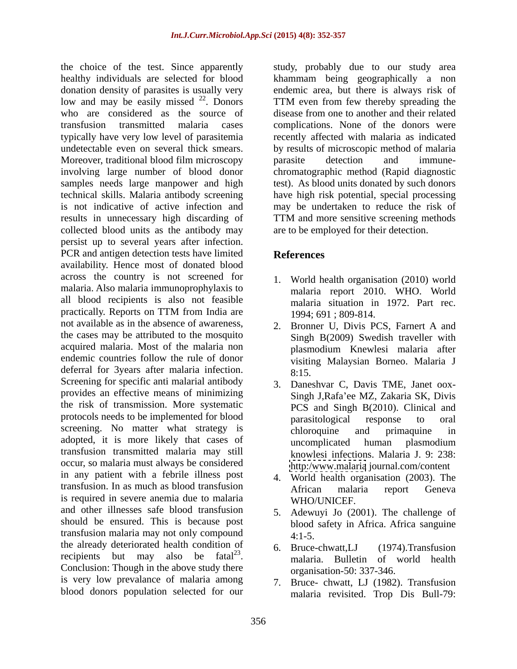healthy individuals are selected for blood khammam being geographically a non donation density of parasites is usually very endemic area, but there is always risk of low and may be easily missed  $22$ . Donors TTM even from few thereby spreading the who are considered as the source of transfusion transmitted malaria cases complications. None of the donors were typically have very low level of parasitemia expression recently affected with malaria as indicated undetectable even on several thick smears. by results of microscopic method of malaria Moreover, traditional blood film microscopy barasite detection and immuneinvolving large number of blood donor chromatographic method (Rapid diagnostic samples needs large manpower and high test). As blood units donated by such donors technical skills. Malaria antibody screening have high risk potential, special processing is not indicative of active infection and may be undertaken to reduce the risk of results in unnecessary high discarding of TTM and more sensitive screening methods collected blood units as the antibody may persist up to several years after infection. PCR and antigen detection tests have limited<br>
References availability. Hence most of donated blood across the country is not screened for malaria. Also malaria immunoprophylaxis to all blood recipients is also not feasible practically. Reports on TTM from India are  $1994:691:809-814$ . not available as in the absence of awareness, 2. Bronner U, Divis PCS, Farnert A and the cases may be attributed to the mosquito acquired malaria. Most of the malaria non blasmodium Knewlesi malaria after endemic countries follow the rule of donor deferral for 3years after malaria infection. 8:15. Screening for specific anti malarial antibody provides an effective means of minimizing the risk of transmission. More systematic protocols needs to be implemented for blood parasitological response to oral screening. No matter what strategy is chloroquine and primaquine in adopted, it is more likely that cases of **uncomplicated** human plasmodium transfusion transmitted malaria may still occur, so malaria must always be considered in any patient with a febrile illness post transfusion. In as much as blood transfusion<br>African malaria report Geneva is required in severe anemia due to malaria and other illnesses safe blood transfusion should be ensured. This is because post transfusion malaria may not only compound the already deteriorated health condition of 6. Bruce-chwatt, LJ (1974). Transfusion recipients but may also be fatal $^{23}$ . Conclusion: Though in the above study there is very low prevalance of malaria among blood donors population selected for our

the choice of the test. Since apparently study, probably due to our study area disease from one to another and their related parasite detection and immune- TTM and more sensitive screening methods are to be employed for their detection.

# **References**

- 1. World health organisation (2010) world malaria report 2010. WHO. World malaria situation in 1972. Part rec. 1994; 691 ; 809-814.
- Singh B(2009) Swedish traveller with plasmodium Knewlesi malaria after visiting Malaysian Borneo. Malaria J 8:15.
- 3. Daneshvar C, Davis TME, Janet oox- Singh J,Rafa ee MZ, Zakaria SK, Divis PCS and Singh B(2010). Clinical and parasitological response to oral chloroquine and primaquine in uncomplicated human plasmodium knowlesi infections. Malaria J. 9: 238: <http:/www.malaria> journal.com/content
- 4. World health organisation (2003). The African malaria report Geneva WHO/UNICEF.
- 5. Adewuyi Jo (2001). The challenge of blood safety in Africa. Africa sanguine 4:1-5.
- . malaria. Bulletin of world health 6. Bruce-chwatt,LJ (1974).Transfusion organisation-50: 337-346.
	- Bruce- chwatt, LJ (1982). Transfusion malaria revisited. Trop Dis Bull-79: